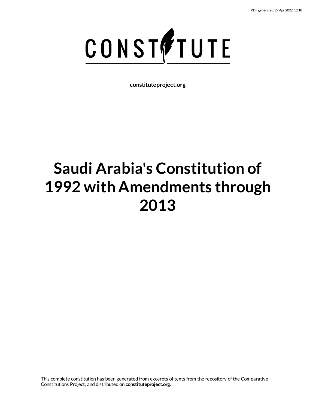

**constituteproject.org**

# **Saudi Arabia's Constitution of 1992 with Amendments through 2013**

This complete constitution has been generated from excerpts of texts from the repository of the Comparative Constitutions Project, and distributed on **constituteproject.org**.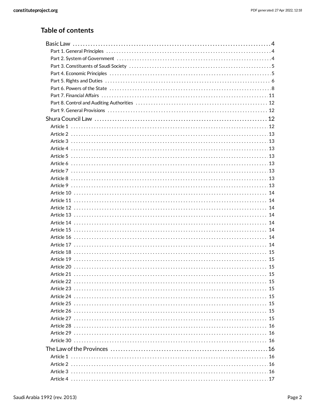### **Table of contents**

| Article 13 ……………………………………………………………………………………… 14 |  |
|-------------------------------------------------|--|
|                                                 |  |
|                                                 |  |
|                                                 |  |
|                                                 |  |
|                                                 |  |
|                                                 |  |
|                                                 |  |
|                                                 |  |
|                                                 |  |
|                                                 |  |
|                                                 |  |
|                                                 |  |
|                                                 |  |
|                                                 |  |
| Article 28 ……………………………………………………………………………………… 16 |  |
|                                                 |  |
|                                                 |  |
|                                                 |  |
|                                                 |  |
|                                                 |  |
|                                                 |  |
|                                                 |  |
|                                                 |  |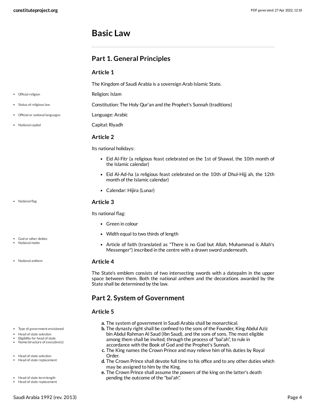### <span id="page-3-0"></span>**Basic Law**

### <span id="page-3-1"></span>**Part 1. General Principles**

### **Article 1**

The Kingdom of Saudi Arabia is a sovereign Arab Islamic State.

Religion: Islam

<span id="page-3-10"></span><span id="page-3-9"></span>Constitution: The Holy Qur'an and the Prophet's Sunnah (traditions)

- <span id="page-3-8"></span>Language: Arabic
- <span id="page-3-6"></span>Capital: Riyadh

### **Article 2**

Its national holidays:

- Eid Al-Fitr (a religious feast celebrated on the 1st of Shawal, the 10th month of the Islamic calendar)
- Eid Al-Ad-ha (a religious feast celebrated on the 10th of Dhul-Hijj ah, the 12th month of the Islamic calendar)
- Calendar: Hijira (Lunar)

### <span id="page-3-7"></span>**Article 3**

Its national flag:

- Green in colour
- Width equal to two thirds of length
- <span id="page-3-4"></span>Article of faith (translated as "There is no God but Allah, Muhammad is Allah's Messenger") inscribed in the centre with a drawn sword underneath.

#### <span id="page-3-5"></span>**Article 4**

The State's emblem consists of two intersecting swords with a datepalm in the upper space between them. Both the national anthem and the decorations awarded by the State shall be determined by the law.

### <span id="page-3-2"></span>**Part 2. System of Government**

### <span id="page-3-3"></span>**Article 5**

- **a.** The system of government in Saudi Arabia shall be monarchical.
- **b.** The dynasty right shall be confined to the sons of the Founder, King Abdul Aziz bin Abdul Rahman Al Saud (Ibn Saud), and the sons of sons. The most eligible among them shall be invited, through the process of"bai'ah", to rule in accordance with the Book of God and the Prophet's Sunnah.
- **c.** The King names the Crown Prince and may relieve him of his duties by Royal Order.
- **d.** The Crown Prince shall devote full time to his office and to any other duties which may be assigned to him by the King.
- **e.** The Crown Prince shall assume the powers of the king on the latter's death pending the outcome of the "bai'ah".
- Official religion
- Status of religious law
- Official or national languages
- National capital

National flag

- God or other deities National motto
- 
- National anthem

- Type of government envisioned
- Head of state selection
- Eligibility for head of state Name/structure of executive(s)
- Head of state selection
- Head of state replacement
- Head of state term length
- Head of state replacement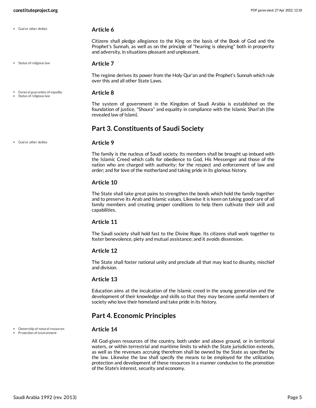God or other deities

Status of religious law

General guarantee of equality • Status of religious law

### <span id="page-4-5"></span>**Article 7**

<span id="page-4-3"></span>**Article 6**

The regime derives its power from the Holy Qur'an and the Prophet's Sunnah which rule over this and all other State Laws.

Citizens shall pledge allegiance to the King on the basis of the Book of God and the Prophet's Sunnah, as well as on the principle of "hearing is obeying" both in prosperity

#### <span id="page-4-2"></span>**Article 8**

The system of government in the Kingdom of Saudi Arabia is established on the foundation of justice, "Shoura" and equality in compliance with the Islamic Shari'ah (the revealed law of Islam).

### <span id="page-4-0"></span>**Part 3. Constituents of Saudi Society**

and adversity, in situations pleasant and unpleasant.

#### **Article 9**

The family is the nucleus of Saudi society. Its members shall be brought up imbued with the Islamic Creed which calls for obedience to God, His Messenger and those of the nation who are charged with authority; for the respect and enforcement of law and order; and for love of the motherland and taking pride in its glorious history.

#### **Article 10**

The State shall take great pains to strengthen the bonds which hold the family together and to preserve its Arab and Islamic values. Likewise it is keen on taking good care of all family members and creating proper conditions to help them cultivate their skill and capabilities.

#### **Article 11**

The Saudi society shall hold fast to the Divine Rope. Its citizens shall work together to foster benevolence, piety and mutual assistance; and it avoids dissension.

#### **Article 12**

The State shall foster national unity and preclude all that may lead to disunity, mischief and division.

#### **Article 13**

Education aims at the inculcation of the Islamic creed in the young generation and the development of their knowledge and skills so that they may become useful members of society who love their homeland and take pride in its history.

### <span id="page-4-1"></span>**Part 4. Economic Principles**

#### <span id="page-4-4"></span>**Article 14**

All God-given resources of the country, both under and above ground, or in territorial waters, or within terrestrial and maritime limits to which the State jurisdiction extends, as well as the revenues accruing therefrom shall be owned by the State as specified by the law. Likewise the law shall specify the means to be employed for the utilization, protection and development of these resources in a manner conducive to the promotion of the State's interest, security and economy.

Ownership of natural resources • Protection of environment

God or other deities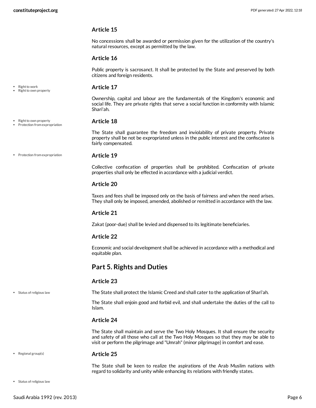• Right to work • Right to own property

#### **Article 15**

No concessions shall be awarded or permission given for the utilization of the country's natural resources, except as permitted by the law.

#### **Article 16**

Public property is sacrosanct. It shall be protected by the State and preserved by both citizens and foreign residents.

#### <span id="page-5-3"></span>**Article 17**

Ownership, capital and labour are the fundamentals of the Kingdom's economic and social life. They are private rights that serve a social function in conformity with Islamic Shari'ah.

#### <span id="page-5-1"></span>**Article 18**

The State shall guarantee the freedom and inviolability of private property. Private property shall be not be expropriated unless in the public interest and the confiscatee is fairly compensated.

• Protection from expropriation

Right to own property • Protection from expropriation

#### **Article 19**

Collective confiscation of properties shall be prohibited. Confiscation of private properties shall only be effected in accordance with a judicial verdict.

#### **Article 20**

Taxes and fees shall be imposed only on the basis of fairness and when the need arises. They shall only be imposed, amended, abolished or remitted in accordance with the law.

#### **Article 21**

Zakat (poor-due) shall be levied and dispensed to its legitimate beneficiaries.

#### **Article 22**

Economic and social development shall be achieved in accordance with a methodical and equitable plan.

### <span id="page-5-0"></span>**Part 5. Rights and Duties**

#### **Article 23**

• Status of religious law

<span id="page-5-4"></span>The State shall protect the Islamic Creed and shall cater to the application of Shari'ah.

The State shall enjoin good and forbid evil, and shall undertake the duties of the call to Islam.

#### **Article 24**

The State shall maintain and serve the Two Holy Mosques. It shall ensure the security and safety of all those who call at the Two Holy Mosques so that they may be able to visit or perform the pilgrimage and "Umrah" (minor pilgrimage) in comfort and ease.

#### • Regional group(s)

#### <span id="page-5-2"></span>**Article 25**

The State shall be keen to realize the aspirations of the Arab Muslim nations with regard to solidarity and unity while enhancing its relations with friendly states.

• Status of religious law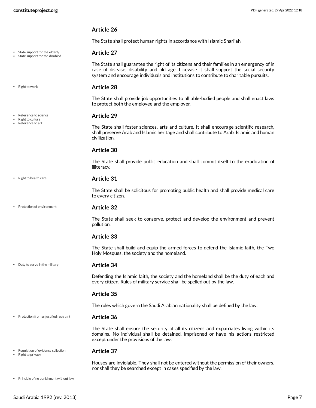• State support for the elderly State support for the disabled

 $\cdot$  Right to work

Reference to science Right to culture Reference to art

### **Article 26**

The State shall protect human rights in accordance with Islamic Shari'ah.

#### <span id="page-6-8"></span>**Article 27**

The State shall guarantee the right of its citizens and their families in an emergency of in case of disease, disability and old age. Likewise it shall support the social security system and encourage individuals and institutions to contribute to charitable pursuits.

#### <span id="page-6-7"></span>**Article 28**

The State shall provide job opportunities to all able-bodied people and shall enact laws to protect both the employee and the employer.

#### <span id="page-6-4"></span>**Article 29**

The State shall foster sciences, arts and culture. It shall encourage scientific research, shall preserve Arab and Islamic heritage and shall contribute to Arab, Islamic and human civilization.

#### **Article 30**

The State shall provide public education and shall commit itself to the eradication of illiteracy.

#### <span id="page-6-6"></span>**Article 31**

The State shall be solicitous for promoting public health and shall provide medical care to every citizen.

• Protection of environment

• Right to health care

#### <span id="page-6-3"></span>**Article 32**

The State shall seek to conserve, protect and develop the environment and prevent pollution.

#### **Article 33**

The State shall build and equip the armed forces to defend the Islamic faith, the Two Holy Mosques, the society and the homeland.

• Duty to serve in the military

#### <span id="page-6-0"></span>**Article 34**

Defending the Islamic faith, the society and the homeland shall be the duty of each and every citizen. Rules of military service shall be spelled out by the law.

#### **Article 35**

The rules which govern the Saudi Arabian nationality shall be defined by the law.

#### **Article 36** Protection from unjustified restraint

<span id="page-6-2"></span>

The State shall ensure the security of all its citizens and expatriates living within its domains. No individual shall be detained, imprisoned or have his actions restricted except under the provisions of the law.

#### Regulation of evidence collection

 $\bullet$ Right to privacy <span id="page-6-5"></span>**Article 37**

<span id="page-6-1"></span>Houses are inviolable. They shall not be entered without the permission of their owners, nor shall they be searched except in cases specified by the law.

 $\bullet$  Principle of no punishment without law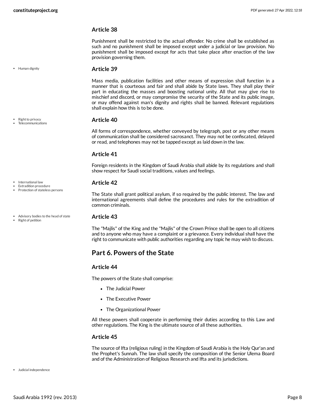• Human dignity

Right to privacy Telecommunications

#### **Article 38**

Punishment shall be restricted to the actual offender. No crime shall be established as such and no punishment shall be imposed except under a judicial or law provision. No punishment shall be imposed except for acts that take place after enaction of the law provision governing them.

#### <span id="page-7-3"></span>**Article 39**

Mass media, publication facilities and other means of expression shall function in a manner that is courteous and fair and shall abide by State laws. They shall play their part in educating the masses and boosting national unity. All that may give rise to mischief and discord, or may compromise the security of the State and its public image, or may offend against man's dignity and rights shall be banned. Relevant regulations shall explain how this is to be done.

#### <span id="page-7-5"></span>**Article 40**

All forms of correspondence, whether conveyed by telegraph, post or any other means of communication shall be considered sacrosanct. They may not be confiscated, delayed or read, and telephones may not be tapped except as laid down in the law.

#### **Article 41**

Foreign residents in the Kingdom of Saudi Arabia shall abide by its regulations and shall show respect for Saudi social traditions, values and feelings.

#### <span id="page-7-2"></span>**Article 42**

<span id="page-7-1"></span>**Article 43**

The State shall grant political asylum, if so required by the public interest. The law and international agreements shall define the procedures and rules for the extradition of common criminals.

The "Majlis" of the King and the "Majlis" of the Crown Prince shall be open to all citizens and to anyone who may have a complaint or a grievance. Every individual shall have the right to communicate with public authorities regarding any topic he may wish to discuss.

### <span id="page-7-0"></span>**Part 6. Powers of the State**

#### **Article 44**

The powers of the State shall comprise:

- The Judicial Power
- The Executive Power
- The Organizational Power

All these powers shall cooperate in performing their duties according to this Law and other regulations. The King is the ultimate source of all these authorities.

#### **Article 45**

<span id="page-7-4"></span>The source of Ifta (religious ruling) in the Kingdom of Saudi Arabia is the Holy Qur'an and the Prophet's Sunnah. The law shall specify the composition of the Senior Ulema Board and of the Administration of Religious Research and Ifta and its jurisdictions.

Judicial independence

International law Extradition procedure • Protection of stateless persons

- Advisory bodies to the head of state Right of petition
-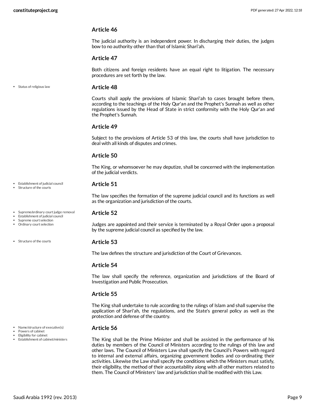The judicial authority is an independent power. In discharging their duties, the judges bow to no authority other than that of Islamic Shari'ah.

#### **Article 47**

Both citizens and foreign residents have an equal right to litigation. The necessary procedures are set forth by the law.

Status of religious law

#### <span id="page-8-3"></span>**Article 48**

Courts shall apply the provisions of Islamic Shari'ah to cases brought before them, according to the teachings of the Holy Qur'an and the Prophet's Sunnah as well as other regulations issued by the Head of State in strict conformity with the Holy Qur'an and the Prophet's Sunnah.

#### **Article 49**

Subject to the provisions of Article 53 of this law, the courts shall have jurisdiction to deal with all kinds of disputes and crimes.

#### **Article 50**

The King, or whomsoever he may deputize, shall be concerned with the implementation of the judicial verdicts.

#### <span id="page-8-1"></span>**Article 51**

The law specifies the formation of the supreme judicial council and its functions as well as the organization and jurisdiction of the courts.

#### <span id="page-8-2"></span>**Article 52**

Judges are appointed and their service is terminated by a Royal Order upon a proposal by the supreme judicial council as specified by the law.

#### **Article 53**

The law defines the structure and jurisdiction of the Court of Grievances.

#### **Article 54**

The law shall specify the reference, organization and jurisdictions of the Board of Investigation and Public Prosecution.

#### **Article 55**

The King shall undertake to rule according to the rulings of Islam and shall supervise the application of Shari'ah, the regulations, and the State's general policy as well as the protection and defense of the country.

#### <span id="page-8-0"></span>**Article 56**

The King shall be the Prime Minister and shall be assisted in the performance of his duties by members of the Council of Ministers according to the rulings of this law and other laws. The Council of Ministers Law shall specify the Council's Powers with regard to internal and external affairs, organizing government bodies and co-ordinating their activities. Likewise the Law shall specify the conditions which the Ministers must satisfy, their eligibility, the method of their accountability along with all other matters related to them. The Council of Ministers' law and jurisdiction shall be modified with this Law.

- Establishment of judicial council
- Structure of the courts
- Supreme/ordinary court judge removal
- Establishment of judicial council Supreme court selection
- Ordinary court selection

Structure of the courts

- Name/structure of executive(s)
- Powers of cabinet
- Eligibility for cabinet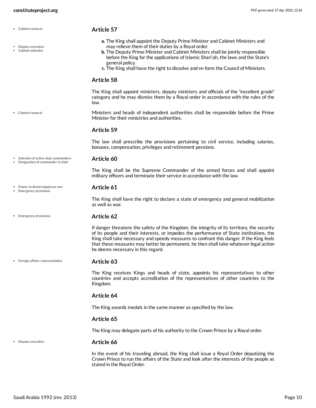Cabinet removal

<span id="page-9-3"></span><span id="page-9-2"></span><span id="page-9-1"></span><span id="page-9-0"></span>**Article 57**

| Deputy executive<br>Cabinet selection                                      | a. The King shall appoint the Deputy Prime Minister and Cabinet Ministers and<br>may relieve them of their duties by a Royal order.<br><b>b.</b> The Deputy Prime Minister and Cabinet Ministers shall be jointly responsible<br>before the King for the applications of Islamic Shari'ah, the laws and the State's<br>general policy.<br>c. The King shall have the right to dissolve and re-form the Council of Ministers. |
|----------------------------------------------------------------------------|------------------------------------------------------------------------------------------------------------------------------------------------------------------------------------------------------------------------------------------------------------------------------------------------------------------------------------------------------------------------------------------------------------------------------|
|                                                                            | <b>Article 58</b>                                                                                                                                                                                                                                                                                                                                                                                                            |
|                                                                            | The King shall appoint ministers, deputy ministers and officials of the "excellent grade"<br>category and he may dismiss them by a Royal order in accordance with the rules of the<br>law.                                                                                                                                                                                                                                   |
| • Cabinet removal                                                          | Ministers and heads of independent authorities shall be responsible before the Prime<br>Minister for their ministries and authorities.                                                                                                                                                                                                                                                                                       |
|                                                                            | Article 59                                                                                                                                                                                                                                                                                                                                                                                                                   |
|                                                                            | The law shall prescribe the provisions pertaining to civil service, including salaries,<br>bonuses, compensation, privileges and retirement pensions.                                                                                                                                                                                                                                                                        |
| Selection of active-duty commanders<br>• Designation of commander in chief | Article 60                                                                                                                                                                                                                                                                                                                                                                                                                   |
|                                                                            | The King shall be the Supreme Commander of the armed forces and shall appoint<br>military officers and terminate their service in accordance with the law.                                                                                                                                                                                                                                                                   |
| Power to declare/approve war<br>Emergency provisions                       | Article 61                                                                                                                                                                                                                                                                                                                                                                                                                   |
|                                                                            | The King shall have the right to declare a state of emergency and general mobilization<br>as well as war.                                                                                                                                                                                                                                                                                                                    |
| • Emergency provisions                                                     | <b>Article 62</b>                                                                                                                                                                                                                                                                                                                                                                                                            |
|                                                                            | If danger threatens the safety of the Kingdom, the integrity of its territory, the security<br>of its people and their interests, or impedes the performance of State institutions, the<br>King shall take necessary and speedy measures to confront this danger. If the King feels<br>that these measures may better be permanent, he then shall take whatever legal action<br>he deems necessary in this regard.           |
| • Foreign affairs representative                                           | Article 63                                                                                                                                                                                                                                                                                                                                                                                                                   |
|                                                                            | The King receives Kings and heads of state, appoints his representatives to other<br>countries and accepts accreditation of the representatives of other countries to the<br>Kingdom.                                                                                                                                                                                                                                        |
|                                                                            | Article 64                                                                                                                                                                                                                                                                                                                                                                                                                   |
|                                                                            | The King awards medals in the same manner as specified by the law.                                                                                                                                                                                                                                                                                                                                                           |
|                                                                            | Article 65                                                                                                                                                                                                                                                                                                                                                                                                                   |
|                                                                            | The King may delegate parts of his authority to the Crown Prince by a Royal order.                                                                                                                                                                                                                                                                                                                                           |
| • Deputy executive                                                         | Article 66                                                                                                                                                                                                                                                                                                                                                                                                                   |
|                                                                            | In the event of his traveling abroad, the King shall issue a Royal Order deputizing the<br>Crown Prince to run the affairs of the State and look after the interests of the people as<br>stated in the Royal Order.                                                                                                                                                                                                          |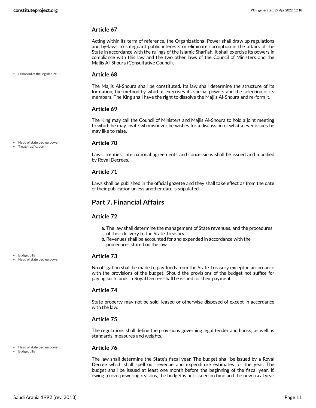Acting within its term of reference, the Organizational Power shall draw up regulations and by-laws to safeguard public interests or eliminate corruption in the affairs of the State in accordance with the rulings of the Islamic Shari'ah. It shall exercise its powers in compliance with this law and the two other laws of the Council of Ministers and the Majlis Al-Shoura (Consultative Council).

Dismissal of the legislature

#### <span id="page-10-2"></span>**Article 68**

The Majlis Al-Shoura shall be constituted. Its law shall determine the structure of its formation, the method by which it exercises its special powers and the selection of its members. The King shall have the right to dissolve the Majlis Al-Shoura and re-form it.

#### **Article 69**

The King may call the Council of Ministers and Majlis Al-Shoura to hold a joint meeting to which he may invite whomsoever he wishes for a discussion of whatsoever issues he may like to raise.

Head of state decree power

#### Treaty ratification

#### <span id="page-10-3"></span>**Article 70**

Laws, treaties, international agreements and concessions shall be issued and modified by Royal Decrees.

#### **Article 71**

Laws shall be published in the official gazette and they shall take effect as from the date of their publication unless another date is stipulated.

### <span id="page-10-0"></span>**Part 7. Financial Affairs**

#### **Article 72**

- **a.** The law shall determine the management of State revenues, and the procedures of their delivery to the State Treasury.
- **b.** Revenues shall be accounted for and expended in accordance with the procedures stated on the law.

#### <span id="page-10-1"></span>**Article 73**

No obligation shall be made to pay funds from the State Treasury except in accordance with the provisions of the budget. Should the provisions of the budget not suffice for paying such funds, a Royal Decree shall be issued for their payment.

#### **Article 74**

State property may not be sold, leased or otherwise disposed of except in accordance with the law.

#### **Article 75**

The regulations shall define the provisions governing legal tender and banks, as well as standards, measures and weights.

#### **Article 76**

The law shall determine the State's fiscal year. The budget shall be issued by a Royal Decree which shall spell out revenue and expenditure estimates for the year. The budget shall be issued at least one month before the beginning of the fiscal year. If, owing to overpowering reasons, the budget is not issued on time and the new fiscal year

Head of state decree power

• Budget bills

• Budget bills

Head of state decree power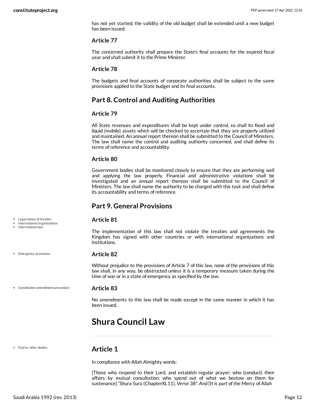has not yet started, the validity of the old budget shall be extended until a new budget has been issued.

#### **Article 77**

The concerned authority shall prepare the State's final accounts for the expired fiscal year and shall submit it to the Prime Minister.

#### **Article 78**

The budgets and final accounts of corporate authorities shall be subject to the same provisions applied to the State budget and its final accounts.

### <span id="page-11-0"></span>**Part 8. Control and Auditing Authorities**

#### **Article 79**

All State revenues and expenditures shall be kept under control, so shall its fixed and liquid (mobile) assets which will be checked to ascertain that they are properly utilized and maintained. An annual report thereon shall be submitted to the Council of Ministers. The law shall name the control and auditing authority concerned, and shall define its terms of reference and accountability.

#### **Article 80**

Government bodies shall be monitored closely to ensure that they are performing well and applying the law properly. Financial and administrative violations shall be investigated and an annual report thereon shall be submitted to the Council of Ministers. The law shall name the authority to be charged with this task and shall define its accountability and terms of reference.

### <span id="page-11-1"></span>**Part 9. General Provisions**

#### <span id="page-11-6"></span>**Article 81**

The implementation of this law shall not violate the treaties and agreements the Kingdom has signed with other countries or with international organizations and institutions.

### <span id="page-11-5"></span>**Article 82**

Without prejudice to the provisions of Article 7 of this law, none of the provisions of this law shall, in any way, be obstructed unless it is a temporary measure taken during the time of war or in a state of emergency as specified by the law.

#### Constitution amendment procedure

### <span id="page-11-4"></span>**Article 83**

No amendments to this law shall be made except in the same manner in which it has been issued.

# <span id="page-11-2"></span>**Shura Council Law**

God or other deities

Legal status of treaties International organizations International law

• Emergency provisions

### <span id="page-11-3"></span>**Article 1**

In compliance with Allah Almighty words:

[Those who respond to their Lord, and establish regular prayer; who (conduct) their affairs by mutual consultation; who spend out of what we bestow on them for sustenance] "Shura Sura (ChapterXL11), Verse 38". And [It is part of the Mercy of Allah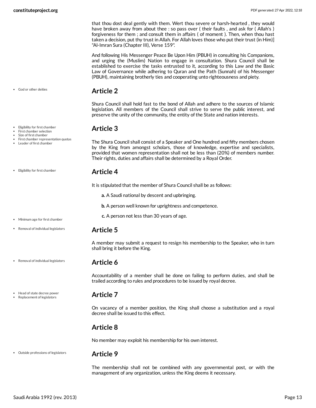that thou dost deal gently with them. Wert thou severe or harsh-hearted , they would have broken away from about thee : so pass over (their faults, and ask for (Allah's) forgiveness for them ; and consult them in affairs ( of moment ). Then, when thou hast taken a decision, put thy trust in Allah. For Allah loves those who put their trust (in Him)] "Al-Imran Sura (Chapter III), Verse 159".

And following His Messenger Peace Be Upon Him (PBUH) in consulting his Companions, and urging the (Muslim) Nation to engage in consultation. Shura Council shall be established to exercise the tasks entrusted to it, according to this Law and the Basic Law of Governance while adhering to Quran and the Path (Sunnah) of his Messenger (PBUH), maintaining brotherly ties and cooperating unto righteousness and piety.

### <span id="page-12-0"></span>**Article 2**

Shura Council shall hold fast to the bond of Allah and adhere to the sources of Islamic legislation. All members of the Council shall strive to serve the public interest, and preserve the unity of the community, the entity of the State and nation interests.

### <span id="page-12-1"></span>**Article 3**

The Shura Council shall consist of a Speaker and One hundred and fifty members chosen by the King from amongst scholars, those of knowledge, expertise and specialists, provided that women representation shall not be less than (20%) of members number. Their rights, duties and affairs shall be determined by a Royal Order.

### <span id="page-12-2"></span>**Article 4**

<span id="page-12-8"></span>It is stipulated that the member of Shura Council shall be as follows:

- **a.** A Saudi national by descent and upbringing.
- **b.** A person well known for uprightness and competence.
- **c.** A person not less than 30 years of age.

### <span id="page-12-3"></span>**Article 5**

A member may submit a request to resign his membership to the Speaker, who in turn shall bring it before the King.

### <span id="page-12-4"></span>**Article 6**

Accountability of a member shall be done on failing to perform duties, and shall be trailed according to rules and procedures to be issued by royal decree.

### <span id="page-12-5"></span>**Article 7**

On vacancy of a member position, the King shall choose a substitution and a royal decree shall be issued to this effect.

### <span id="page-12-6"></span>**Article 8**

No member may exploit his membership for his own interest.

#### Outside professions of legislators

#### <span id="page-12-7"></span>**Article 9**

The membership shall not be combined with any governmental post, or with the management of any organization, unless the King deems it necessary.

- Eligibility for first chamber
- First chamber selection

God or other deities

- Size of first chamber
- First chamber representation quotas Leader of first chamber
- Eligibility for first chamber
- Minimum age for first chamber
- Removal of individual legislators
- Removal of individual legislators

Head of state decree power Replacement of legislators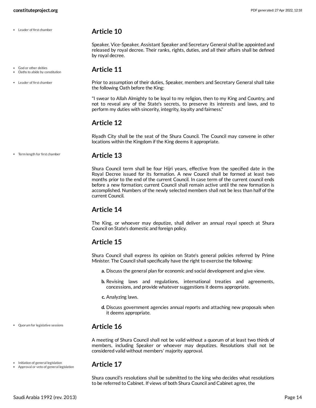- Leader of first chamber
	-
- God or other deities Oaths to abide by constitution
- Leader of first chamber

<span id="page-13-1"></span>by royal decree.

<span id="page-13-0"></span>**Article 10**

Prior to assumption of their duties, Speaker, members and Secretary General shall take the following Oath before the King:

Speaker, Vice-Speaker, Assistant Speaker and Secretary General shall be appointed and released by royal decree. Their ranks, rights, duties, and all their affairs shall be defined

"I swear to Allah Almighty to be loyal to my religion, then to my King and Country, and not to reveal any of the State's secrets, to preserve its interests and laws, and to perform my duties with sincerity, integrity, loyalty and fairness."

### <span id="page-13-2"></span>**Article 12**

Riyadh City shall be the seat of the Shura Council. The Council may convene in other locations within the Kingdom if the King deems it appropriate.

Term length for first chamber

### <span id="page-13-3"></span>**Article 13**

Shura Council term shall be four Hijri years, effective from the specified date in the Royal Decree issued for its formation. A new Council shall be formed at least two months prior to the end of the current Council. In case term of the current council ends before a new formation; current Council shall remain active until the new formation is accomplished. Numbers of the newly selected members shall not be less than half of the current Council.

### <span id="page-13-4"></span>**Article 14**

The King, or whoever may deputize, shall deliver an annual royal speech at Shura Council on State's domestic and foreign policy.

### <span id="page-13-5"></span>**Article 15**

Shura Council shall express its opinion on State's general policies referred by Prime Minister. The Council shall specifically have the right to exercise the following:

- **a.** Discuss the general plan for economic and social development and give view.
- **b.** Revising laws and regulations, international treaties and agreements, concessions, and provide whatever suggestions it deems appropriate.
- **c.** Analyzing laws.
- **d.** Discuss government agencies annual reports and attaching new proposals when it deems appropriate.

### <span id="page-13-6"></span>**Article 16**

A meeting of Shura Council shall not be valid without a quorum of at least two thirds of members, including Speaker or whoever may deputizes. Resolutions shall not be considered valid without members' majority approval.

### <span id="page-13-7"></span>**Article 17**

Shura council's resolutions shall be submitted to the king who decides what resolutions to be referred to Cabinet. If views of both Shura Council and Cabinet agree, the

Initiation of general legislation Approval or veto of general legislation

Quorum for legislative sessions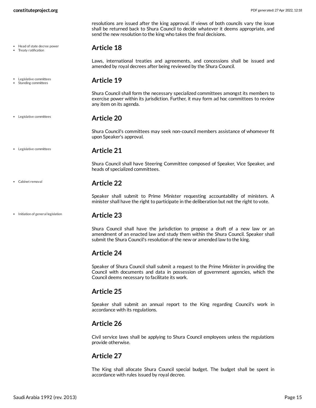Head of state decree power Treaty ratification

Legislative committees Standing committees

Legislative committees

Cabinet removal

resolutions are issued after the king approval. If views of both councils vary the issue shall be returned back to Shura Council to decide whatever it deems appropriate, and send the new resolution to the king who takes the final decisions.

### <span id="page-14-0"></span>**Article 18**

Laws, international treaties and agreements, and concessions shall be issued and amended by royal decrees after being reviewed by the Shura Council.

### **Article 19**

<span id="page-14-1"></span>Shura Council shall form the necessary specialized committees amongst its members to exercise power within its jurisdiction. Further, it may form ad hoc committees to review any item on its agenda.

### <span id="page-14-2"></span>**Article 20**

Shura Council's committees may seek non-council members assistance of whomever fit upon Speaker's approval.

**Article 21** Legislative committees

<span id="page-14-3"></span>

Shura Council shall have Steering Committee composed of Speaker, Vice Speaker, and heads of specialized committees.

### **Article 22**

<span id="page-14-4"></span>Speaker shall submit to Prime Minister requesting accountability of ministers. A minister shall have the right to participate in the deliberation but not the right to vote.

#### $\bullet$  Initiation of general legislation

<span id="page-14-5"></span>**Article 23**

Shura Council shall have the jurisdiction to propose a draft of a new law or an amendment of an enacted law and study them within the Shura Council. Speaker shall submit the Shura Council's resolution of the new or amended law to the king.

### <span id="page-14-6"></span>**Article 24**

Speaker of Shura Council shall submit a request to the Prime Minister in providing the Council with documents and data in possession of government agencies, which the Council deems necessary to facilitate its work.

### <span id="page-14-7"></span>**Article 25**

Speaker shall submit an annual report to the King regarding Council's work in accordance with its regulations.

### <span id="page-14-8"></span>**Article 26**

Civil service laws shall be applying to Shura Council employees unless the regulations provide otherwise.

### <span id="page-14-9"></span>**Article 27**

The King shall allocate Shura Council special budget. The budget shall be spent in accordance with rules issued by royal decree.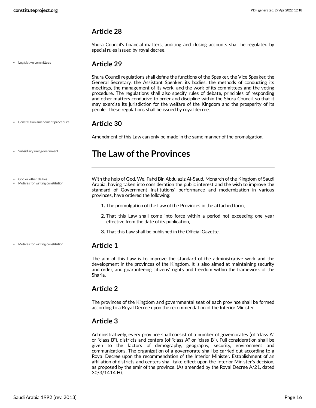<span id="page-15-0"></span>Shura Council's financial matters, auditing and closing accounts shall be regulated by special rules issued by royal decree.

Legislative committees

### <span id="page-15-1"></span>**Article 29**

Shura Council regulations shall define the functions of the Speaker, the Vice Speaker, the General Secretary, the Assistant Speaker, its bodies, the methods of conducting its meetings, the management of its work, and the work of its committees and the voting procedure. The regulations shall also specify rules of debate, principles of responding and other matters conducive to order and discipline within the Shura Council, so that it may exercise its jurisdiction for the welfare of the Kingdom and the prosperity of its people. These regulations shall be issued by royal decree.

#### **Article 30** Constitution amendment procedure

<span id="page-15-2"></span>Amendment of this Law can only be made in the same manner of the promulgation.

## <span id="page-15-3"></span>**The Law ofthe Provinces**

God or other deities

Motives for writing constitution

Subsidiary unit government

Motives for writing constitution

<span id="page-15-7"></span>With the help of God, We, Fahd Bin Abdulaziz Al-Saud, Monarch of the Kingdom of Saudi Arabia, having taken into consideration the public interest and the wish to improve the standard of Government Institutions' performance and modernization in various provinces, have ordered the following:

- **1.** The promulgation of the Law of the Provinces in the attached form,
- **2.** That this Law shall come into force within a period not exceeding one year effective from the date of its publication,
- **3.** That this Law shall be published in the Official Gazette.

### <span id="page-15-4"></span>**Article 1**

The aim of this Law is to improve the standard of the administrative work and the development in the provinces of the Kingdom. It is also aimed at maintaining security and order, and guaranteeing citizens' rights and freedom within the framework of the Sharia.

### <span id="page-15-5"></span>**Article 2**

The provinces of the Kingdom and governmental seat of each province shall be formed according to a Royal Decree upon the recommendation of the Interior Minister.

### <span id="page-15-6"></span>**Article 3**

Administratively, every province shall consist of a number of govemorates (of "class A" or "class B"), districts and centers (of "class A" or "class B"). Full consideration shall be given to the factors of demography, geography, security, environment and communications. The organization of a governorate shall be carried out according to a Royal Decree upon the recommendation of the Interior Minister. Establishment of an affiliation of districts and centers shall take effect upon the Interior Minister's decision, as proposed by the emir of the province. (As amended by the Royal Decree A/21, dated 30/3/1414 H).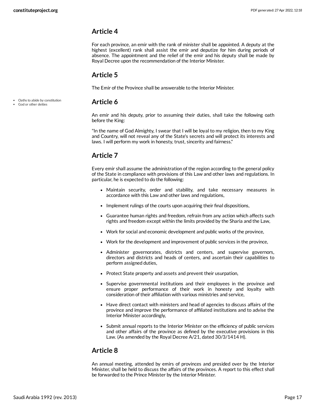Oaths to abide by constitution God or other deities

### <span id="page-16-0"></span>**Article 4**

For each province, an emir with the rank of minister shall be appointed. A deputy at the highest (excellent) rank shall assist the emir and deputize for him during periods of absence. The appointment and the relief of the emir and his deputy shall be made by Royal Decree upon the recommendation of the Interior Minister.

### <span id="page-16-1"></span>**Article 5**

The Emir of the Province shall be answerable to the Interior Minister.

### <span id="page-16-2"></span>**Article 6**

An emir and his deputy, prior to assuming their duties, shall take the following oath before the King:

"In the name of God Almighty, I swear that I will be loyal to my religion, then to my King and Country, will not reveal any of the State's secrets and will protect its interests and laws. I will perform my work in honesty, trust, sincerity and fairness."

### <span id="page-16-3"></span>**Article 7**

Every emir shall assume the administration of the region according to the general policy of the State in compliance with provisions of this Law and other laws and regulations. In particular, he is expected to do the following:

- Maintain security, order and stability, and take necessary measures in accordance with this Law and other laws and regulations,
- Implement rulings of the courts upon acquiring their final dispositions,
- Guarantee human rights and freedom, refrain from any action which affects such rights and freedom except within the limits provided by the Sharia and the Law,
- Work for social and economic development and public works of the province,
- Work for the development and improvement of public services in the province,
- Administer governorates, districts and centers, and supervise governors, directors and districts and heads of centers, and ascertain their capabilities to perform assigned duties,
- Protect State property and assets and prevent their usurpation,
- Supervise governmental institutions and their employees in the province and ensure proper performance of their work in honesty and loyalty with consideration of their affiliation with various ministries and service,
- Have direct contact with ministers and head of agencies to discuss affairs of the province and improve the performance of affiliated institutions and to advise the Interior Minister accordingly,
- Submit annual reports to the Interior Minister on the efficiency of public services and other affairs of the province as defined by the executive provisions in this Law. (As amended by the Royal Decree A/21, dated 30/3/1414 H).

### <span id="page-16-4"></span>**Article 8**

An annual meeting, attended by emirs of provinces and presided over by the Interior Minister, shall be held to discuss the affairs of the provinces. A report to this effect shall be forwarded to the Prince Minister by the Interior Minister.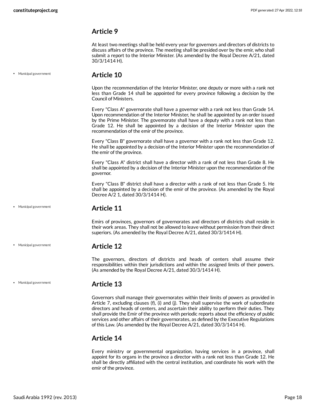<span id="page-17-0"></span>At least two meetings shall be held every year for governors and directors of districts to discuss affairs of the province. The meeting shall be presided over by the emir, who shall submit a report to the Interior Minister. (As amended by the Royal Decree A/21, dated 30/3/1414 H).

Municipal government

### <span id="page-17-1"></span>**Article 10**

Upon the recommendation of the Interior Minister, one deputy or more with a rank not less than Grade 14 shall be appointed for every province following a decision by the Council of Ministers.

Every "Class A" governorate shall have a governor with a rank not less than Grade 14. Upon recommendation of the Interior Minister, he shall be appointed by an order issued by the Prime Minister. The govemorate shall have a deputy with a rank not less than Grade 12. He shall be appointed by a decision of the Interior Minister upon the recommendation of the emir of the province.

Every "Class B" governorate shall have a governor with a rank not less than Grade 12. He shall be appointed by a decision of the Interior Minister upon the recommendation of the emir of the province.

Every "Class A" district shall have a director with a rank of not less than Grade 8. He shall be appointed by a decision of the Interior Minister upon the recommendation of the governor.

Every "Class B" district shall have a director with a rank of not less than Grade 5. He shall be appointed by a decision of the emir of the province. (As amended by the Royal Decree A/2 1, dated 30/3/1414 H).

Municipal government

Municipal government

### <span id="page-17-2"></span>**Article 11**

Emirs of provinces, governors of governorates and directors of districts shall reside in their work areas. They shall not be allowed to leave without permission from their direct superiors. (As amended by the Royal Decree A/21, dated 30/3/1414 H).

### <span id="page-17-3"></span>**Article 12**

The governors, directors of districts and heads of centers shall assume their responsibilities within their jurisdictions and within the assigned limits of their powers. (As amended by the Royal Decree A/21, dated 30/3/1414 H).

#### Municipal government

### <span id="page-17-4"></span>**Article 13**

Governors shall manage their governorates within their limits of powers as provided in Article 7, excluding clauses (f), (i) and (j). They shall supervise the work of subordinate directors and heads of centers, and ascertain their ability to perform their duties. They shall provide the Emir of the province with periodic reports about the efficiency of public services and other affairs of their governorates, as defined by the Executive Regulations of this Law. (As amended by the Royal Decree A/21, dated 30/3/1414 H).

### <span id="page-17-5"></span>**Article 14**

Every ministry or governmental organization, having services in a province, shall appoint for its organs in the province a director with a rank not less than Grade 12. He shall be directly affiliated with the central institution, and coordinate his work with the emir of the province.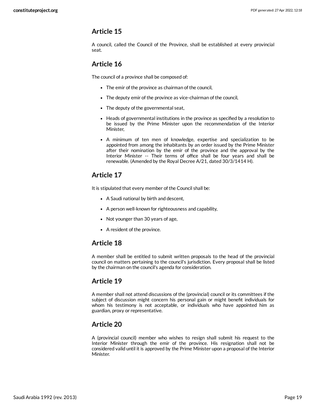<span id="page-18-0"></span>A council, called the Council of the Province, shall be established at every provincial seat.

### <span id="page-18-1"></span>**Article 16**

The council of a province shall be composed of:

- The emir of the province as chairman of the council,
- The deputy emir of the province as vice-chairman of the council,
- The deputy of the governmental seat,
- Heads of governmental institutions in the province as specified by a resolution to be issued by the Prime Minister upon the recommendation of the Interior Minister,
- A minimum of ten men of knowledge, expertise and specialization to be appointed from among the inhabitants by an order issued by the Prime Minister after their nomination by the emir of the province and the approval by the Interior Minister -- Their terms of office shall be four years and shall be renewable. (Amended by the Royal Decree A/21, dated 30/3/1414 H).

### <span id="page-18-2"></span>**Article 17**

It is stipulated that every member of the Council shall be:

- A Saudi national by birth and descent,
- A person well-known for righteousness and capability,
- Not younger than 30 years of age,
- A resident of the province.

### <span id="page-18-3"></span>**Article 18**

A member shall be entitled to submit written proposals to the head of the provincial council on matters pertaining to the council's jurisdiction. Every proposal shall be listed by the chairman on the council's agenda for consideration.

### <span id="page-18-4"></span>**Article 19**

A member shall not attend discussions of the (provincial) council or its committees if the subject of discussion might concern his personal gain or might benefit individuals for whom his testimony is not acceptable, or individuals who have appointed him as guardian, proxy or representative.

### <span id="page-18-5"></span>**Article 20**

A (provincial council) member who wishes to resign shall submit his request to the Interior Minister through the emir of the province. His resignation shall not be considered valid until it is approved by the Prime Minister upon a proposal of the Interior Minister.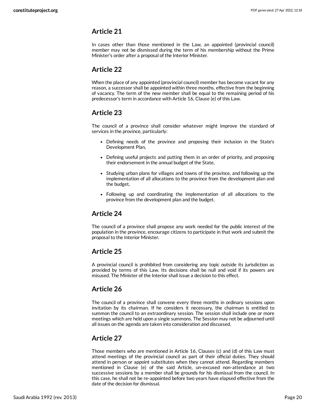<span id="page-19-0"></span>In cases other than those mentioned in the Law, an appointed (provincial council) member may not be dismissed during the term of his membership without the Prime Minister's order after a proposal of the Interior Minister.

### <span id="page-19-1"></span>**Article 22**

When the place of any appointed (provincial council) member has become vacant for any reason, a successor shall be appointed within three months, effective from the beginning of vacancy. The term of the new member shall be equal to the remaining period of his predecessor's term in accordance with Article 16, Clause (e) of this Law.

### <span id="page-19-2"></span>**Article 23**

The council of a province shall consider whatever might improve the standard of services in the province, particularly:

- Defining needs of the province and proposing their inclusion in the State's Development Plan,
- Defining useful projects and putting them in an order of priority, and proposing their endorsement in the annual budget of the State,
- Studying urban plans for villages and towns of the province, and following up the implementation of all allocations to the province from the development plan and the budget,
- Following up and coordinating the implementation of all allocations to the province from the development plan and the budget.

### <span id="page-19-3"></span>**Article 24**

The council of a province shall propose any work needed for the public interest of the population in the province, encourage citizens to participate in that work and submit the proposal to the Interior Minister.

### <span id="page-19-4"></span>**Article 25**

A provincial council is prohibited from considering any topic outside its jurisdiction as provided by terms of this Law. Its decisions shall be null and void if its powers are misused. The Minister of the Interior shall issue a decision to this effect.

### <span id="page-19-5"></span>**Article 26**

The council of a province shall convene every three months in ordinary sessions upon invitation by its chairman. If he considers it necessary, the chairman is entitled to summon the council to an extraordinary session. The session shall include one or more meetings which are held upon a single summons. The Session may not be adjourned until all issues on the agenda are taken into consideration and discussed.

### <span id="page-19-6"></span>**Article 27**

Those members who are mentioned in Article 16, Clauses (c) and (d) of this Law must attend meetings of the provincial council as part of their official duties. They should attend in person or appoint substitutes when they cannot attend. Regarding members mentioned in Clause (e) of the said Article, un-excused non-attendance at two successive sessions by a member shall be grounds for his dismissal from the council. In this case, he shall not be re-appointed before two years have elapsed effective from the date of the decision for dismissal.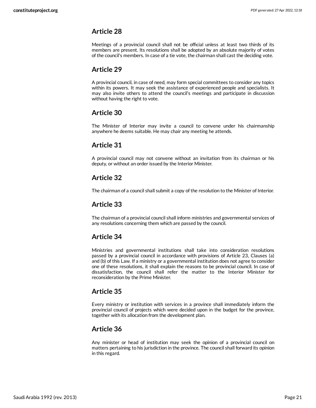<span id="page-20-0"></span>Meetings of a provincial council shall not be official unless at least two thirds of its members are present. Its resolutions shall be adopted by an absolute majority of votes of the council's members. In case of a tie vote, the chairman shall cast the deciding vote.

### <span id="page-20-1"></span>**Article 29**

A provincial council, in case of need, may form special committees to consider any topics within its powers. It may seek the assistance of experienced people and specialists. It may also invite others to attend the council's meetings and participate in discussion without having the right to vote.

### <span id="page-20-2"></span>**Article 30**

The Minister of Interior may invite a council to convene under his chairmanship anywhere he deems suitable. He may chair any meeting he attends.

### <span id="page-20-3"></span>**Article 31**

A provincial council may not convene without an invitation from its chairman or his deputy, or without an order issued by the Interior Minister.

### <span id="page-20-4"></span>**Article 32**

The chairman of a council shall submit a copy of the resolution to the Minister of Interior.

### <span id="page-20-5"></span>**Article 33**

The chairman of a provincial council shall inform ministries and governmental services of any resolutions concerning them which are passed by the council.

### <span id="page-20-6"></span>**Article 34**

Ministries and governmental institutions shall take into consideration resolutions passed by a provincial council in accordance with provisions of Article 23, Clauses (a) and (b) of this Law. If a ministry or a governmental institution does not agree to consider one of these resolutions, it shall explain the reasons to be provincial council. In case of dissatisfaction, the council shall refer the matter to the Interior Minister for reconsideration by the Prime Minister.

### <span id="page-20-7"></span>**Article 35**

Every ministry or institution with services in a province shall immediately inform the provincial council of projects which were decided upon in the budget for the province, together with its allocation from the development plan.

### <span id="page-20-8"></span>**Article 36**

Any minister or head of institution may seek the opinion of a provincial council on matters pertaining to his jurisdiction in the province. The council shall forward its opinion in this regard.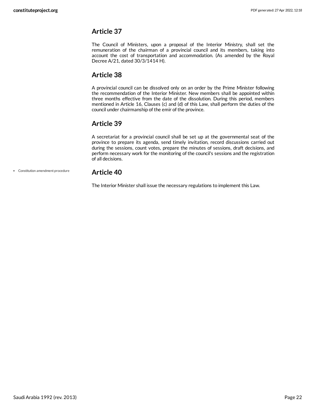<span id="page-21-0"></span>The Council of Ministers, upon a proposal of the Interior Ministry, shall set the remuneration of the chairman of a provincial council and its members, taking into account the cost of transportation and accommodation. (As amended by the Royal Decree A/21, dated 30/3/1414 H).

### <span id="page-21-1"></span>**Article 38**

A provincial council can be dissolved only on an order by the Prime Minister following the recommendation of the Interior Minister. New members shall be appointed within three months effective from the date of the dissolution. During this period, members mentioned in Article 16, Clauses (c) and (d) of this Law, shall perform the duties of the council under chairmanship of the emir of the province.

### <span id="page-21-2"></span>**Article 39**

A secretariat for a provincial council shall be set up at the governmental seat of the province to prepare its agenda, send timely invitation, record discussions carried out during the sessions, count votes, prepare the minutes of sessions, draft decisions, and perform necessary work for the monitoring of the council's sessions and the registration of all decisions.

Constitution amendment procedure

### <span id="page-21-3"></span>**Article 40**

The Interior Minister shall issue the necessary regulations to implement this Law.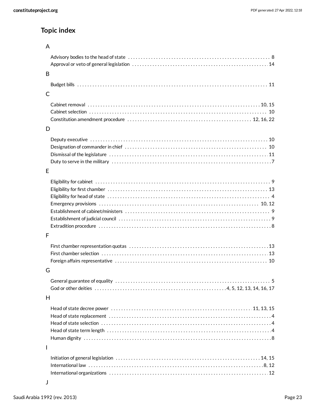# **Topic index**

### A

| B |  |
|---|--|
|   |  |
| C |  |
|   |  |
| D |  |
|   |  |
| E |  |
|   |  |
| F |  |
| G |  |
|   |  |
|   |  |
| H |  |
|   |  |
| I |  |
|   |  |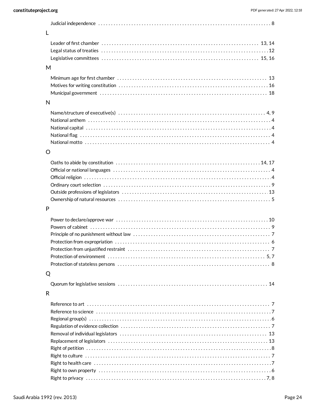| L                                                                                                                                                                                                                              |  |
|--------------------------------------------------------------------------------------------------------------------------------------------------------------------------------------------------------------------------------|--|
|                                                                                                                                                                                                                                |  |
|                                                                                                                                                                                                                                |  |
|                                                                                                                                                                                                                                |  |
| M                                                                                                                                                                                                                              |  |
|                                                                                                                                                                                                                                |  |
|                                                                                                                                                                                                                                |  |
|                                                                                                                                                                                                                                |  |
| $\mathsf{N}$                                                                                                                                                                                                                   |  |
|                                                                                                                                                                                                                                |  |
|                                                                                                                                                                                                                                |  |
|                                                                                                                                                                                                                                |  |
|                                                                                                                                                                                                                                |  |
|                                                                                                                                                                                                                                |  |
|                                                                                                                                                                                                                                |  |
| $\circ$                                                                                                                                                                                                                        |  |
|                                                                                                                                                                                                                                |  |
|                                                                                                                                                                                                                                |  |
|                                                                                                                                                                                                                                |  |
|                                                                                                                                                                                                                                |  |
|                                                                                                                                                                                                                                |  |
|                                                                                                                                                                                                                                |  |
| P                                                                                                                                                                                                                              |  |
|                                                                                                                                                                                                                                |  |
|                                                                                                                                                                                                                                |  |
|                                                                                                                                                                                                                                |  |
|                                                                                                                                                                                                                                |  |
|                                                                                                                                                                                                                                |  |
|                                                                                                                                                                                                                                |  |
|                                                                                                                                                                                                                                |  |
| Q                                                                                                                                                                                                                              |  |
|                                                                                                                                                                                                                                |  |
| R                                                                                                                                                                                                                              |  |
|                                                                                                                                                                                                                                |  |
| Reference to science with contact the control of the control of the contact of the contact of the contact of the contact of the contact of the contact of the contact of the contact of the contact of the contact of the cont |  |
|                                                                                                                                                                                                                                |  |
|                                                                                                                                                                                                                                |  |
|                                                                                                                                                                                                                                |  |
|                                                                                                                                                                                                                                |  |
|                                                                                                                                                                                                                                |  |
|                                                                                                                                                                                                                                |  |
|                                                                                                                                                                                                                                |  |
|                                                                                                                                                                                                                                |  |
|                                                                                                                                                                                                                                |  |